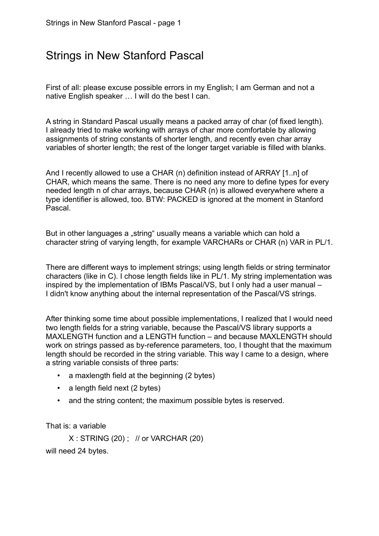# Strings in New Stanford Pascal

First of all: please excuse possible errors in my English; I am German and not a native English speaker … I will do the best I can.

A string in Standard Pascal usually means a packed array of char (of fixed length). I already tried to make working with arrays of char more comfortable by allowing assignments of string constants of shorter length, and recently even char array variables of shorter length; the rest of the longer target variable is filled with blanks.

And I recently allowed to use a CHAR (n) definition instead of ARRAY [1..n] of CHAR, which means the same. There is no need any more to define types for every needed length n of char arrays, because CHAR (n) is allowed everywhere where a type identifier is allowed, too. BTW: PACKED is ignored at the moment in Stanford Pascal.

But in other languages a "string" usually means a variable which can hold a character string of varying length, for example VARCHARs or CHAR (n) VAR in PL/1.

There are different ways to implement strings; using length fields or string terminator characters (like in C). I chose length fields like in PL/1. My string implementation was inspired by the implementation of IBMs Pascal/VS, but I only had a user manual – I didn't know anything about the internal representation of the Pascal/VS strings.

After thinking some time about possible implementations, I realized that I would need two length fields for a string variable, because the Pascal/VS library supports a MAXLENGTH function and a LENGTH function – and because MAXLENGTH should work on strings passed as by-reference parameters, too, I thought that the maximum length should be recorded in the string variable. This way I came to a design, where a string variable consists of three parts:

- a maxlength field at the beginning (2 bytes)
- a length field next (2 bytes)
- and the string content; the maximum possible bytes is reserved.

That is: a variable

 $X:$  STRING (20) ; // or VARCHAR (20) will need 24 bytes.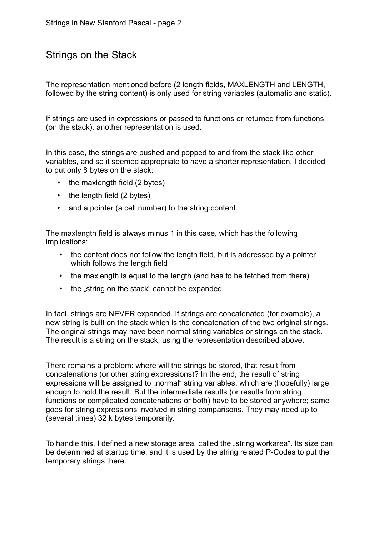### Strings on the Stack

The representation mentioned before (2 length fields, MAXLENGTH and LENGTH, followed by the string content) is only used for string variables (automatic and static).

If strings are used in expressions or passed to functions or returned from functions (on the stack), another representation is used.

In this case, the strings are pushed and popped to and from the stack like other variables, and so it seemed appropriate to have a shorter representation. I decided to put only 8 bytes on the stack:

- the maxlength field (2 bytes)
- the length field (2 bytes)
- and a pointer (a cell number) to the string content

The maxlength field is always minus 1 in this case, which has the following implications:

- the content does not follow the length field, but is addressed by a pointer which follows the length field
- the maxlength is equal to the length (and has to be fetched from there)
- the "string on the stack" cannot be expanded

In fact, strings are NEVER expanded. If strings are concatenated (for example), a new string is built on the stack which is the concatenation of the two original strings. The original strings may have been normal string variables or strings on the stack. The result is a string on the stack, using the representation described above.

There remains a problem: where will the strings be stored, that result from concatenations (or other string expressions)? In the end, the result of string expressions will be assigned to "normal" string variables, which are (hopefully) large enough to hold the result. But the intermediate results (or results from string functions or complicated concatenations or both) have to be stored anywhere; same goes for string expressions involved in string comparisons. They may need up to (several times) 32 k bytes temporarily.

To handle this, I defined a new storage area, called the "string workarea". Its size can be determined at startup time, and it is used by the string related P-Codes to put the temporary strings there.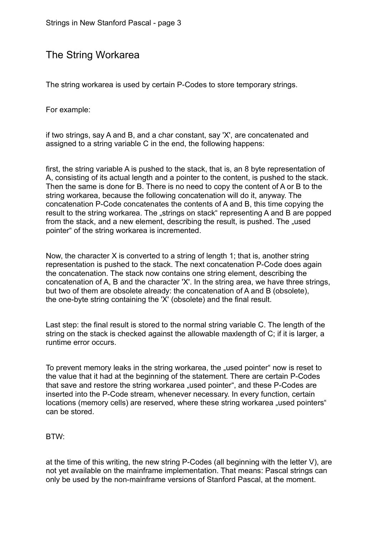### The String Workarea

The string workarea is used by certain P-Codes to store temporary strings.

For example:

if two strings, say A and B, and a char constant, say 'X', are concatenated and assigned to a string variable C in the end, the following happens:

first, the string variable A is pushed to the stack, that is, an 8 byte representation of A, consisting of its actual length and a pointer to the content, is pushed to the stack. Then the same is done for B. There is no need to copy the content of A or B to the string workarea, because the following concatenation will do it, anyway. The concatenation P-Code concatenates the contents of A and B, this time copying the result to the string workarea. The "strings on stack" representing A and B are popped from the stack, and a new element, describing the result, is pushed. The "used pointer" of the string workarea is incremented.

Now, the character X is converted to a string of length 1; that is, another string representation is pushed to the stack. The next concatenation P-Code does again the concatenation. The stack now contains one string element, describing the concatenation of A, B and the character 'X'. In the string area, we have three strings, but two of them are obsolete already: the concatenation of A and B (obsolete), the one-byte string containing the 'X' (obsolete) and the final result.

Last step: the final result is stored to the normal string variable C. The length of the string on the stack is checked against the allowable maxlength of C; if it is larger, a runtime error occurs.

To prevent memory leaks in the string workarea, the "used pointer" now is reset to the value that it had at the beginning of the statement. There are certain P-Codes that save and restore the string workarea "used pointer", and these P-Codes are inserted into the P-Code stream, whenever necessary. In every function, certain locations (memory cells) are reserved, where these string workarea "used pointers" can be stored.

#### BTW:

at the time of this writing, the new string P-Codes (all beginning with the letter V), are not yet available on the mainframe implementation. That means: Pascal strings can only be used by the non-mainframe versions of Stanford Pascal, at the moment.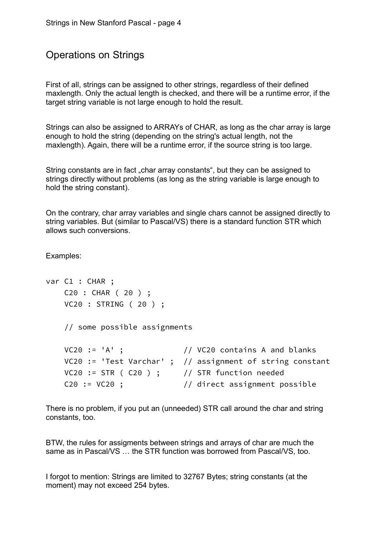### Operations on Strings

First of all, strings can be assigned to other strings, regardless of their defined maxlength. Only the actual length is checked, and there will be a runtime error, if the target string variable is not large enough to hold the result.

Strings can also be assigned to ARRAYs of CHAR, as long as the char array is large enough to hold the string (depending on the string's actual length, not the maxlength). Again, there will be a runtime error, if the source string is too large.

String constants are in fact "char array constants", but they can be assigned to strings directly without problems (as long as the string variable is large enough to hold the string constant).

On the contrary, char array variables and single chars cannot be assigned directly to string variables. But (similar to Pascal/VS) there is a standard function STR which allows such conversions.

Examples:

```
var C1 : CHAR ;
    C20 : CHAR ( 20 ) ;
    VC20 : STRING ( 20 ) ;
    // some possible assignments
   VC20 := 'A' ; // VC20 contains A and blanks
   VC20 := 'Test Varchar' ; // assignment of string constant
   VC20 := STR (C20) ; // STR function needed
   C20 := VC20 ; \frac{1}{1} direct assignment possible
```
There is no problem, if you put an (unneeded) STR call around the char and string constants, too.

BTW, the rules for assigments between strings and arrays of char are much the same as in Pascal/VS … the STR function was borrowed from Pascal/VS, too.

I forgot to mention: Strings are limited to 32767 Bytes; string constants (at the moment) may not exceed 254 bytes.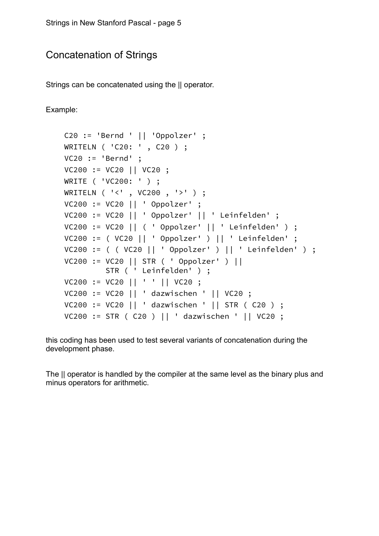### Concatenation of Strings

Strings can be concatenated using the || operator.

Example:

```
 C20 := 'Bernd ' || 'Oppolzer' ;
 WRITELN ( 'C20: ' , C20 ) ;
 VC20 := 'Bernd' ; 
 VC200 := VC20 || VC20 ;
 WRITE ( 'VC200: ' ) ;
 WRITELN ( '<' , VC200 , '>' ) ;
 VC200 := VC20 || ' Oppolzer' ;
 VC200 := VC20 || ' Oppolzer' || ' Leinfelden' ;
 VC200 := VC20 || ( ' Oppolzer' || ' Leinfelden' ) ;
 VC200 := ( VC20 || ' Oppolzer' ) || ' Leinfelden' ;
 VC200 := ( ( VC20 || ' Oppolzer' ) || ' Leinfelden' ) ;
 VC200 := VC20 || STR ( ' Oppolzer' ) || 
          STR ( ' Leinfelden' ) ;
 VC200 := VC20 || ' ' || VC20 ;
 VC200 := VC20 || ' dazwischen ' || VC20 ;
 VC200 := VC20 || ' dazwischen ' || STR ( C20 ) ;
 VC200 := STR ( C20 ) || ' dazwischen ' || VC20 ;
```
this coding has been used to test several variants of concatenation during the development phase.

The || operator is handled by the compiler at the same level as the binary plus and minus operators for arithmetic.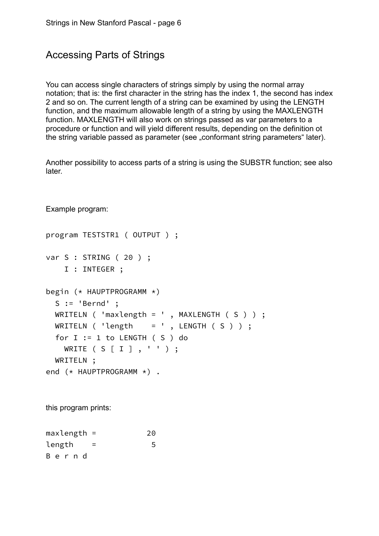### Accessing Parts of Strings

You can access single characters of strings simply by using the normal array notation; that is: the first character in the string has the index 1, the second has index 2 and so on. The current length of a string can be examined by using the LENGTH function, and the maximum allowable length of a string by using the MAXLENGTH function. MAXLENGTH will also work on strings passed as var parameters to a procedure or function and will yield different results, depending on the definition ot the string variable passed as parameter (see "conformant string parameters" later).

Another possibility to access parts of a string is using the SUBSTR function; see also later.

Example program:

```
program TESTSTR1 ( OUTPUT ) ;
var S : STRING ( 20 ) ;
     I : INTEGER ;
begin (* HAUPTPROGRAMM *)
  S := 'Bernd';
  WRITELN ( 'maxlength = ' , MAXLENGTH ( S ) ) ;
 WRITELN ( 'length = ' , LENGTH ( S ) ) ;
  for I := 1 to LENGTH (S) do
    WRITE ( S [ I ] , ' ' ) ;
   WRITELN ; 
end (* HAUPTPROGRAMM *) .
this program prints:
```
 $maxlength =$  20  $length = 5$ B e r n d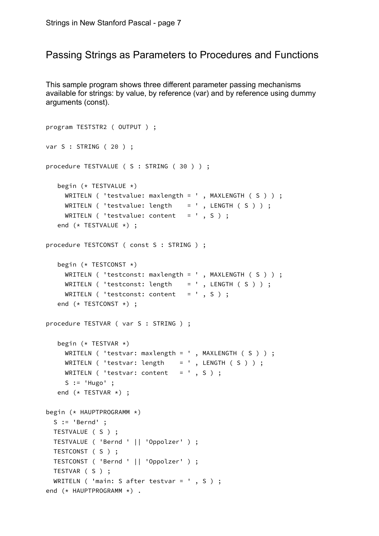#### Passing Strings as Parameters to Procedures and Functions

This sample program shows three different parameter passing mechanisms available for strings: by value, by reference (var) and by reference using dummy arguments (const).

```
program TESTSTR2 ( OUTPUT ) ;
var S : STRING ( 20 ) ;
procedure TESTVALUE ( S : STRING ( 30 ) ) ;
    begin (* TESTVALUE *)
      WRITELN ( 'testvalue: maxlength = ' , MAXLENGTH ( S ) ) ;
     WRITELN ( 'testvalue: length = ' , LENGTH ( S ) ) ;
     WRITELN ( 'testvalue: content = ', S ) ;
    end (* TESTVALUE *) ;
procedure TESTCONST ( const S : STRING ) ;
    begin (* TESTCONST *)
      WRITELN ( 'testconst: maxlength = ' , MAXLENGTH ( S ) ) ;
     WRITELN ( 'testconst: length = ' , LENGTH ( S ) ) ;
     WRITELN ( 'testconst: content = ', S ) ;
    end (* TESTCONST *) ;
procedure TESTVAR ( var S : STRING ) ;
   begin (* TESTVAR *)WRITELN ( 'testvar: maxlength = ' , MAXLENGTH ( S ) ) ;
     WRITELN ( 'testvar: length = ', LENGTH ( S ) ) ;
    WRITELN ( 'testvar: content = ', S ) ;
     S := 'Hugo' ;
    end (* TESTVAR *) ;
begin (* HAUPTPROGRAMM *)
  S := 'Berned';
   TESTVALUE ( S ) ;
   TESTVALUE ( 'Bernd ' || 'Oppolzer' ) ;
   TESTCONST ( S ) ;
   TESTCONST ( 'Bernd ' || 'Oppolzer' ) ;
   TESTVAR ( S ) ;
  WRITELN ( 'main: S after testvar = ' , S ) ;
end (* HAUPTPROGRAMM *) .
```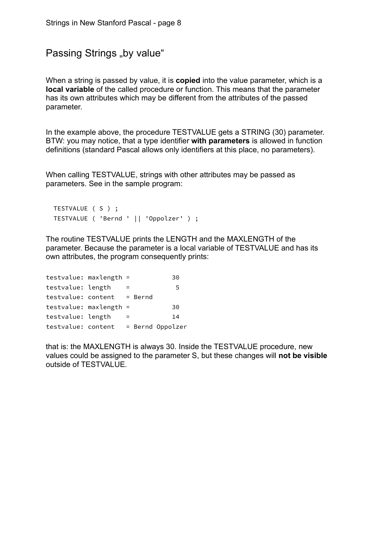```
Passing Strings ..by value"
```
When a string is passed by value, it is **copied** into the value parameter, which is a local variable of the called procedure or function. This means that the parameter has its own attributes which may be different from the attributes of the passed parameter.

In the example above, the procedure TESTVALUE gets a STRING (30) parameter. BTW: you may notice, that a type identifier with parameters is allowed in function definitions (standard Pascal allows only identifiers at this place, no parameters).

When calling TESTVALUE, strings with other attributes may be passed as parameters. See in the sample program:

```
 TESTVALUE ( S ) ;
 TESTVALUE ( 'Bernd ' || 'Oppolzer' ) ;
```
The routine TESTVALUE prints the LENGTH and the MAXLENGTH of the parameter. Because the parameter is a local variable of TESTVALUE and has its own attributes, the program consequently prints:

| $testvalue: maxlength =$ |         | 30               |
|--------------------------|---------|------------------|
| testvalue: length        |         | 5                |
| testvalue: content       | = Bernd |                  |
| $testvalue: maxlength =$ |         | 30               |
| testvalue: length        |         | 14               |
| testvalue: content       |         | = Bernd Oppolzer |

that is: the MAXLENGTH is always 30. Inside the TESTVALUE procedure, new values could be assigned to the parameter S, but these changes will not be visible outside of TESTVALUE.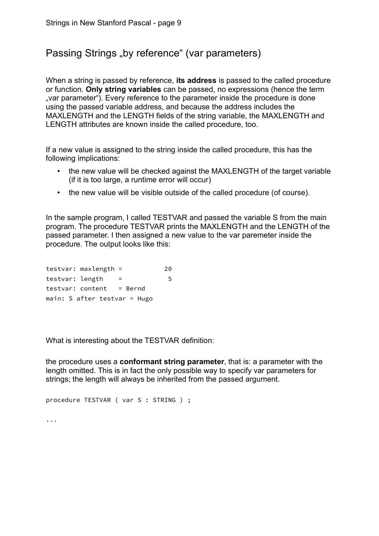## Passing Strings "by reference" (var parameters)

When a string is passed by reference, **its address** is passed to the called procedure or function. Only string variables can be passed, no expressions (hence the term "var parameter"). Every reference to the parameter inside the procedure is done using the passed variable address, and because the address includes the MAXLENGTH and the LENGTH fields of the string variable, the MAXLENGTH and LENGTH attributes are known inside the called procedure, too.

If a new value is assigned to the string inside the called procedure, this has the following implications:

- the new value will be checked against the MAXLENGTH of the target variable (if it is too large, a runtime error will occur)
- the new value will be visible outside of the called procedure (of course).

In the sample program, I called TESTVAR and passed the variable S from the main program. The procedure TESTVAR prints the MAXLENGTH and the LENGTH of the passed parameter. I then assigned a new value to the var paremeter inside the procedure. The output looks like this:

|                 | $testvar: maxlength =$       | 20 |
|-----------------|------------------------------|----|
| testvar: length |                              | 5. |
|                 | $testvar: content = Bern$    |    |
|                 | main: S after testvar = Hugo |    |

What is interesting about the TESTVAR definition:

the procedure uses a conformant string parameter, that is: a parameter with the length omitted. This is in fact the only possible way to specify var parameters for strings; the length will always be inherited from the passed argument.

```
procedure TESTVAR ( var S : STRING ) ;
...
```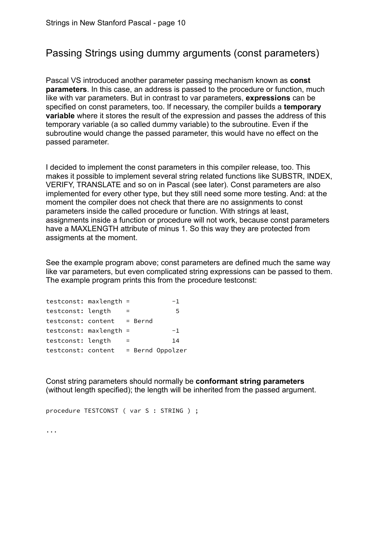### Passing Strings using dummy arguments (const parameters)

Pascal VS introduced another parameter passing mechanism known as const parameters. In this case, an address is passed to the procedure or function, much like with var parameters. But in contrast to var parameters, expressions can be specified on const parameters, too. If necessary, the compiler builds a temporary variable where it stores the result of the expression and passes the address of this temporary variable (a so called dummy variable) to the subroutine. Even if the subroutine would change the passed parameter, this would have no effect on the passed parameter.

I decided to implement the const parameters in this compiler release, too. This makes it possible to implement several string related functions like SUBSTR, INDEX, VERIFY, TRANSLATE and so on in Pascal (see later). Const parameters are also implemented for every other type, but they still need some more testing. And: at the moment the compiler does not check that there are no assignments to const parameters inside the called procedure or function. With strings at least, assignments inside a function or procedure will not work, because const parameters have a MAXLENGTH attribute of minus 1. So this way they are protected from assigments at the moment.

See the example program above; const parameters are defined much the same way like var parameters, but even complicated string expressions can be passed to them. The example program prints this from the procedure testconst:

| testconst: maxlength =     |  | $-1$             |
|----------------------------|--|------------------|
| testconst: length          |  | 5                |
| testconst: content = Bernd |  |                  |
| $testconst:$ maxlength =   |  | $-1$             |
| testconst: length          |  | 14               |
| testconst: content         |  | = Bernd Oppolzer |

Const string parameters should normally be conformant string parameters (without length specified); the length will be inherited from the passed argument.

```
procedure TESTCONST ( var S : STRING ) ;
```
...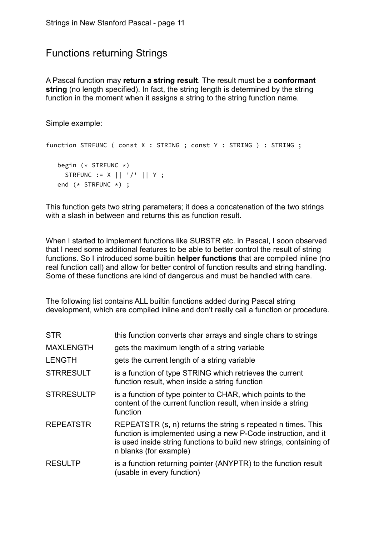### Functions returning Strings

A Pascal function may return a string result. The result must be a conformant string (no length specified). In fact, the string length is determined by the string function in the moment when it assigns a string to the string function name.

Simple example:

```
function STRFUNC ( const X : STRING ; const Y : STRING ) : STRING ;
   begin (* STRFUNC *)
      STRFUNC := X || '/' || Y ;
   end (* STRFUNC *) ;
```
This function gets two string parameters; it does a concatenation of the two strings with a slash in between and returns this as function result.

When I started to implement functions like SUBSTR etc. in Pascal, I soon observed that I need some additional features to be able to better control the result of string functions. So I introduced some builtin **helper functions** that are compiled inline (no real function call) and allow for better control of function results and string handling. Some of these functions are kind of dangerous and must be handled with care.

The following list contains ALL builtin functions added during Pascal string development, which are compiled inline and don't really call a function or procedure.

| <b>STR</b>        | this function converts char arrays and single chars to strings                                                                                                                                                                  |
|-------------------|---------------------------------------------------------------------------------------------------------------------------------------------------------------------------------------------------------------------------------|
| <b>MAXLENGTH</b>  | gets the maximum length of a string variable                                                                                                                                                                                    |
| <b>LENGTH</b>     | gets the current length of a string variable                                                                                                                                                                                    |
| <b>STRRESULT</b>  | is a function of type STRING which retrieves the current<br>function result, when inside a string function                                                                                                                      |
| <b>STRRESULTP</b> | is a function of type pointer to CHAR, which points to the<br>content of the current function result, when inside a string<br>function                                                                                          |
| <b>REPEATSTR</b>  | REPEATSTR (s, n) returns the string s repeated n times. This<br>function is implemented using a new P-Code instruction, and it<br>is used inside string functions to build new strings, containing of<br>n blanks (for example) |
| <b>RESULTP</b>    | is a function returning pointer (ANYPTR) to the function result<br>(usable in every function)                                                                                                                                   |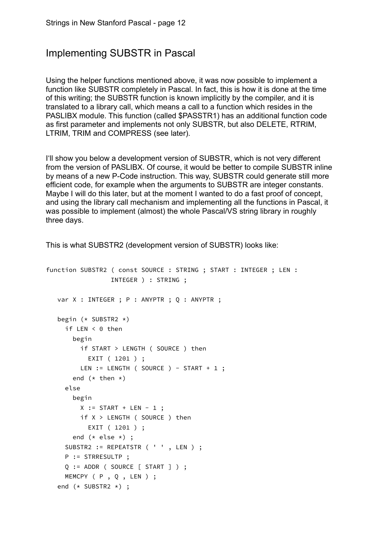### Implementing SUBSTR in Pascal

Using the helper functions mentioned above, it was now possible to implement a function like SUBSTR completely in Pascal. In fact, this is how it is done at the time of this writing; the SUBSTR function is known implicitly by the compiler, and it is translated to a library call, which means a call to a function which resides in the PASLIBX module. This function (called \$PASSTR1) has an additional function code as first parameter and implements not only SUBSTR, but also DELETE, RTRIM, LTRIM, TRIM and COMPRESS (see later).

I'll show you below a development version of SUBSTR, which is not very different from the version of PASLIBX. Of course, it would be better to compile SUBSTR inline by means of a new P-Code instruction. This way, SUBSTR could generate still more efficient code, for example when the arguments to SUBSTR are integer constants. Maybe I will do this later, but at the moment I wanted to do a fast proof of concept, and using the library call mechanism and implementing all the functions in Pascal, it was possible to implement (almost) the whole Pascal/VS string library in roughly three days.

This is what SUBSTR2 (development version of SUBSTR) looks like:

```
function SUBSTR2 ( const SOURCE : STRING ; START : INTEGER ; LEN :
                  INTEGER ) : STRING ;
   var X : INTEGER ; P : ANYPTR ; Q : ANYPTR ;
    begin (* SUBSTR2 *)
      if LEN < 0 then
        begin
          if START > LENGTH ( SOURCE ) then
            EXIT ( 1201 ) ;
         LEN := LENGTH ( SOURCE ) - START + 1 ;
       end (* then *) else
        begin
         X := \text{START} + \text{LEN} - 1; if X > LENGTH ( SOURCE ) then
            EXIT ( 1201 ) ;
        end (* else *) ;
      SUBSTR2 := REPEATSTR ( ' ' , LEN ) ;
      P := STRRESULTP ;
     Q := ADDR ( SOURCE [ START ] ) ;
     MEMCPY ( P , Q , LEN ) ;
    end (* SUBSTR2 *) ;
```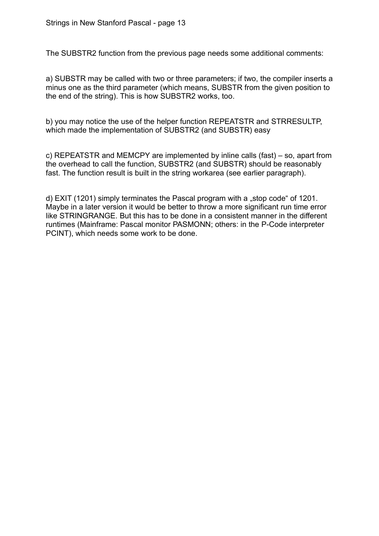The SUBSTR2 function from the previous page needs some additional comments:

a) SUBSTR may be called with two or three parameters; if two, the compiler inserts a minus one as the third parameter (which means, SUBSTR from the given position to the end of the string). This is how SUBSTR2 works, too.

b) you may notice the use of the helper function REPEATSTR and STRRESULTP, which made the implementation of SUBSTR2 (and SUBSTR) easy

c) REPEATSTR and MEMCPY are implemented by inline calls (fast) – so, apart from the overhead to call the function, SUBSTR2 (and SUBSTR) should be reasonably fast. The function result is built in the string workarea (see earlier paragraph).

d) EXIT (1201) simply terminates the Pascal program with a "stop code" of 1201. Maybe in a later version it would be better to throw a more significant run time error like STRINGRANGE. But this has to be done in a consistent manner in the different runtimes (Mainframe: Pascal monitor PASMONN; others: in the P-Code interpreter PCINT), which needs some work to be done.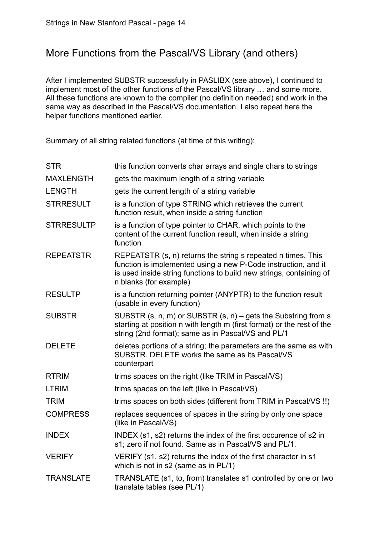### More Functions from the Pascal/VS Library (and others)

After I implemented SUBSTR successfully in PASLIBX (see above), I continued to implement most of the other functions of the Pascal/VS library … and some more. All these functions are known to the compiler (no definition needed) and work in the same way as described in the Pascal/VS documentation. I also repeat here the helper functions mentioned earlier.

Summary of all string related functions (at time of this writing):

| <b>STR</b>        | this function converts char arrays and single chars to strings                                                                                                                                                                  |
|-------------------|---------------------------------------------------------------------------------------------------------------------------------------------------------------------------------------------------------------------------------|
| <b>MAXLENGTH</b>  | gets the maximum length of a string variable                                                                                                                                                                                    |
| <b>LENGTH</b>     | gets the current length of a string variable                                                                                                                                                                                    |
| <b>STRRESULT</b>  | is a function of type STRING which retrieves the current<br>function result, when inside a string function                                                                                                                      |
| <b>STRRESULTP</b> | is a function of type pointer to CHAR, which points to the<br>content of the current function result, when inside a string<br>function                                                                                          |
| <b>REPEATSTR</b>  | REPEATSTR (s, n) returns the string s repeated n times. This<br>function is implemented using a new P-Code instruction, and it<br>is used inside string functions to build new strings, containing of<br>n blanks (for example) |
| <b>RESULTP</b>    | is a function returning pointer (ANYPTR) to the function result<br>(usable in every function)                                                                                                                                   |
| <b>SUBSTR</b>     | SUBSTR $(s, n, m)$ or SUBSTR $(s, n)$ – gets the Substring from s<br>starting at position n with length m (first format) or the rest of the<br>string (2nd format); same as in Pascal/VS and PL/1                               |
| <b>DELETE</b>     | deletes portions of a string; the parameters are the same as with<br>SUBSTR. DELETE works the same as its Pascal/VS<br>counterpart                                                                                              |
| <b>RTRIM</b>      | trims spaces on the right (like TRIM in Pascal/VS)                                                                                                                                                                              |
| <b>LTRIM</b>      | trims spaces on the left (like in Pascal/VS)                                                                                                                                                                                    |
| <b>TRIM</b>       | trims spaces on both sides (different from TRIM in Pascal/VS !!)                                                                                                                                                                |
| <b>COMPRESS</b>   | replaces sequences of spaces in the string by only one space<br>(like in Pascal/VS)                                                                                                                                             |
| <b>INDEX</b>      | INDEX (s1, s2) returns the index of the first occurence of s2 in<br>s1; zero if not found. Same as in Pascal/VS and PL/1.                                                                                                       |
| <b>VERIFY</b>     | VERIFY (s1, s2) returns the index of the first character in s1<br>which is not in s2 (same as in PL/1)                                                                                                                          |
| <b>TRANSLATE</b>  | TRANSLATE (s1, to, from) translates s1 controlled by one or two<br>translate tables (see PL/1)                                                                                                                                  |